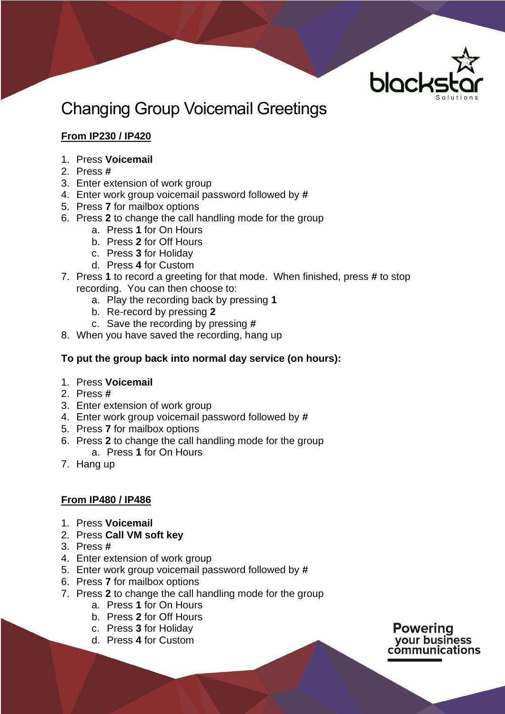

# Changing Group Voicemail Greetings

## **From IP230 / IP420**

- 1. Press **Voicemail**
- 2. Press **#**
- 3. Enter extension of work group
- 4. Enter work group voicemail password followed by **#**
- 5. Press **7** for mailbox options
- 6. Press **2** to change the call handling mode for the group
	- a. Press **1** for On Hours
	- b. Press **2** for Off Hours
	- c. Press **3** for Holiday
	- d. Press **4** for Custom
- 7. Press **1** to record a greeting for that mode. When finished, press **#** to stop recording. You can then choose to:
	- a. Play the recording back by pressing **1**
	- b. Re-record by pressing **2**
	- c. Save the recording by pressing **#**
- 8. When you have saved the recording, hang up

#### **To put the group back into normal day service (on hours):**

- 1. Press **Voicemail**
- 2. Press **#**
- 3. Enter extension of work group
- 4. Enter work group voicemail password followed by **#**
- 5. Press **7** for mailbox options
- 6. Press **2** to change the call handling mode for the group a. Press **1** for On Hours
- 7. Hang up

#### **From IP480 / IP486**

- 1. Press **Voicemail**
- 2. Press **Call VM soft key**
- 3. Press **#**
- 4. Enter extension of work group
- 5. Enter work group voicemail password followed by **#**
- 6. Press **7** for mailbox options
- 7. Press **2** to change the call handling mode for the group
	- a. Press **1** for On Hours
	- b. Press **2** for Off Hours
	- c. Press **3** for Holiday
	- d. Press **4** for Custom

**Powering** vour business cómmunications